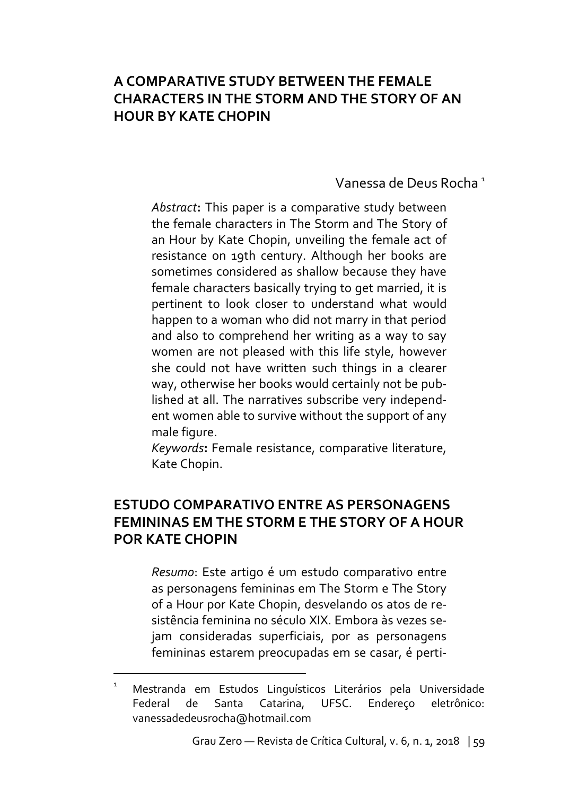### **A COMPARATIVE STUDY BETWEEN THE FEMALE CHARACTERS IN THE STORM AND THE STORY OF AN HOUR BY KATE CHOPIN**

Vanessa de Deus Rocha <sup>1</sup>

*Abstract***:** This paper is a comparative study between the female characters in The Storm and The Story of an Hour by Kate Chopin, unveiling the female act of resistance on 19th century. Although her books are sometimes considered as shallow because they have female characters basically trying to get married, it is pertinent to look closer to understand what would happen to a woman who did not marry in that period and also to comprehend her writing as a way to say women are not pleased with this life style, however she could not have written such things in a clearer way, otherwise her books would certainly not be published at all. The narratives subscribe very independent women able to survive without the support of any male figure.

*Keywords***:** Female resistance, comparative literature, Kate Chopin.

#### **ESTUDO COMPARATIVO ENTRE AS PERSONAGENS FEMININAS EM THE STORM E THE STORY OF A HOUR POR KATE CHOPIN**

*Resumo*: Este artigo é um estudo comparativo entre as personagens femininas em The Storm e The Story of a Hour por Kate Chopin, desvelando os atos de resistência feminina no século XIX. Embora às vezes sejam consideradas superficiais, por as personagens femininas estarem preocupadas em se casar, é perti-

**.** 

<sup>1</sup> Mestranda em Estudos Linguísticos Literários pela Universidade Federal de Santa Catarina, UFSC. Endereço eletrônico: vanessadedeusrocha@hotmail.com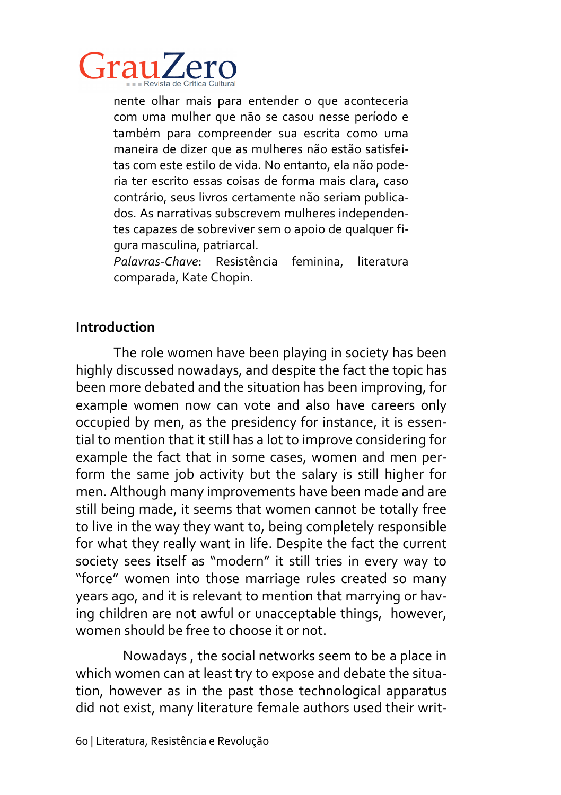

nente olhar mais para entender o que aconteceria com uma mulher que não se casou nesse período e também para compreender sua escrita como uma maneira de dizer que as mulheres não estão satisfeitas com este estilo de vida. No entanto, ela não poderia ter escrito essas coisas de forma mais clara, caso contrário, seus livros certamente não seriam publicados. As narrativas subscrevem mulheres independentes capazes de sobreviver sem o apoio de qualquer figura masculina, patriarcal.

*Palavras-Chave*: Resistência feminina, literatura comparada, Kate Chopin.

### **Introduction**

The role women have been playing in society has been highly discussed nowadays, and despite the fact the topic has been more debated and the situation has been improving, for example women now can vote and also have careers only occupied by men, as the presidency for instance, it is essential to mention that it still has a lot to improve considering for example the fact that in some cases, women and men perform the same job activity but the salary is still higher for men. Although many improvements have been made and are still being made, it seems that women cannot be totally free to live in the way they want to, being completely responsible for what they really want in life. Despite the fact the current society sees itself as "modern" it still tries in every way to "force" women into those marriage rules created so many years ago, and it is relevant to mention that marrying or having children are not awful or unacceptable things, however, women should be free to choose it or not.

Nowadays , the social networks seem to be a place in which women can at least try to expose and debate the situation, however as in the past those technological apparatus did not exist, many literature female authors used their writ-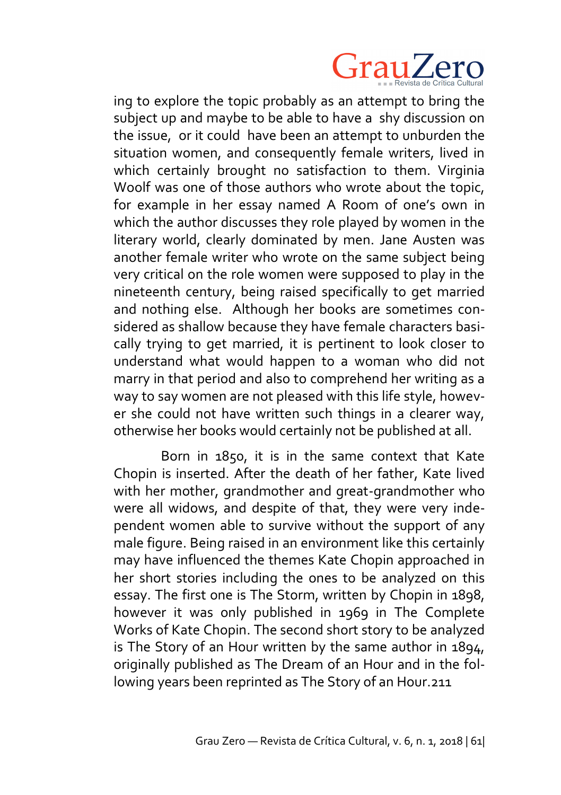

ing to explore the topic probably as an attempt to bring the subject up and maybe to be able to have a shy discussion on the issue, or it could have been an attempt to unburden the situation women, and consequently female writers, lived in which certainly brought no satisfaction to them. Virginia Woolf was one of those authors who wrote about the topic, for example in her essay named A Room of one's own in which the author discusses they role played by women in the literary world, clearly dominated by men. Jane Austen was another female writer who wrote on the same subject being very critical on the role women were supposed to play in the nineteenth century, being raised specifically to get married and nothing else. Although her books are sometimes considered as shallow because they have female characters basically trying to get married, it is pertinent to look closer to understand what would happen to a woman who did not marry in that period and also to comprehend her writing as a way to say women are not pleased with this life style, however she could not have written such things in a clearer way, otherwise her books would certainly not be published at all.

Born in 1850, it is in the same context that Kate Chopin is inserted. After the death of her father, Kate lived with her mother, grandmother and great-grandmother who were all widows, and despite of that, they were very independent women able to survive without the support of any male figure. Being raised in an environment like this certainly may have influenced the themes Kate Chopin approached in her short stories including the ones to be analyzed on this essay. The first one is The Storm, written by Chopin in 1898, however it was only published in 1969 in The Complete Works of Kate Chopin. The second short story to be analyzed is The Story of an Hour written by the same author in 1894, originally published as The Dream of an Hour and in the following years been reprinted as The Story of an Hour.211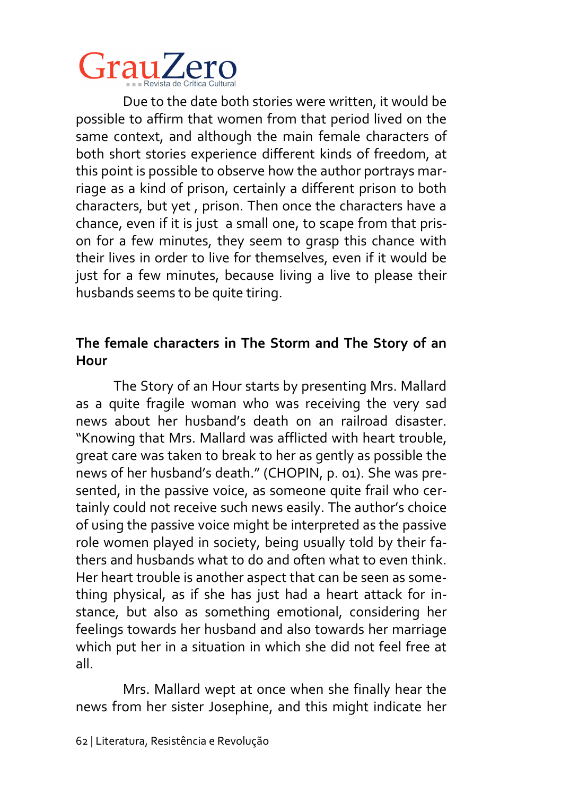

Due to the date both stories were written, it would be possible to affirm that women from that period lived on the same context, and although the main female characters of both short stories experience different kinds of freedom, at this point is possible to observe how the author portrays marriage as a kind of prison, certainly a different prison to both characters, but yet , prison. Then once the characters have a chance, even if it is just a small one, to scape from that prison for a few minutes, they seem to grasp this chance with their lives in order to live for themselves, even if it would be just for a few minutes, because living a live to please their husbands seems to be quite tiring.

### **The female characters in The Storm and The Story of an Hour**

The Story of an Hour starts by presenting Mrs. Mallard as a quite fragile woman who was receiving the very sad news about her husband's death on an railroad disaster. "Knowing that Mrs. Mallard was afflicted with heart trouble, great care was taken to break to her as gently as possible the news of her husband's death." (CHOPIN, p. 01). She was presented, in the passive voice, as someone quite frail who certainly could not receive such news easily. The author's choice of using the passive voice might be interpreted as the passive role women played in society, being usually told by their fathers and husbands what to do and often what to even think. Her heart trouble is another aspect that can be seen as something physical, as if she has just had a heart attack for instance, but also as something emotional, considering her feelings towards her husband and also towards her marriage which put her in a situation in which she did not feel free at all.

Mrs. Mallard wept at once when she finally hear the news from her sister Josephine, and this might indicate her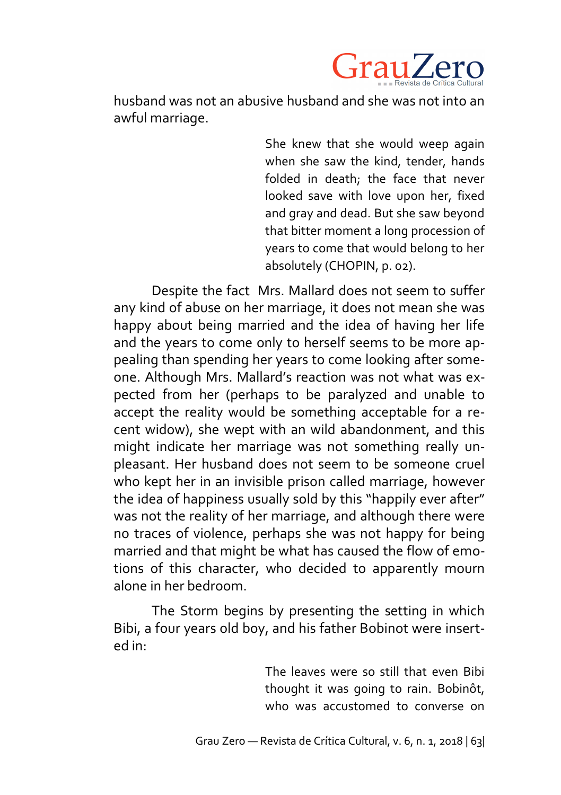

husband was not an abusive husband and she was not into an awful marriage.

> She knew that she would weep again when she saw the kind, tender, hands folded in death; the face that never looked save with love upon her, fixed and gray and dead. But she saw beyond that bitter moment a long procession of years to come that would belong to her absolutely (CHOPIN, p. 02).

Despite the fact Mrs. Mallard does not seem to suffer any kind of abuse on her marriage, it does not mean she was happy about being married and the idea of having her life and the years to come only to herself seems to be more appealing than spending her years to come looking after someone. Although Mrs. Mallard's reaction was not what was expected from her (perhaps to be paralyzed and unable to accept the reality would be something acceptable for a recent widow), she wept with an wild abandonment, and this might indicate her marriage was not something really unpleasant. Her husband does not seem to be someone cruel who kept her in an invisible prison called marriage, however the idea of happiness usually sold by this "happily ever after" was not the reality of her marriage, and although there were no traces of violence, perhaps she was not happy for being married and that might be what has caused the flow of emotions of this character, who decided to apparently mourn alone in her bedroom.

The Storm begins by presenting the setting in which Bibi, a four years old boy, and his father Bobinot were inserted in:

> The leaves were so still that even Bibi thought it was going to rain. Bobinôt, who was accustomed to converse on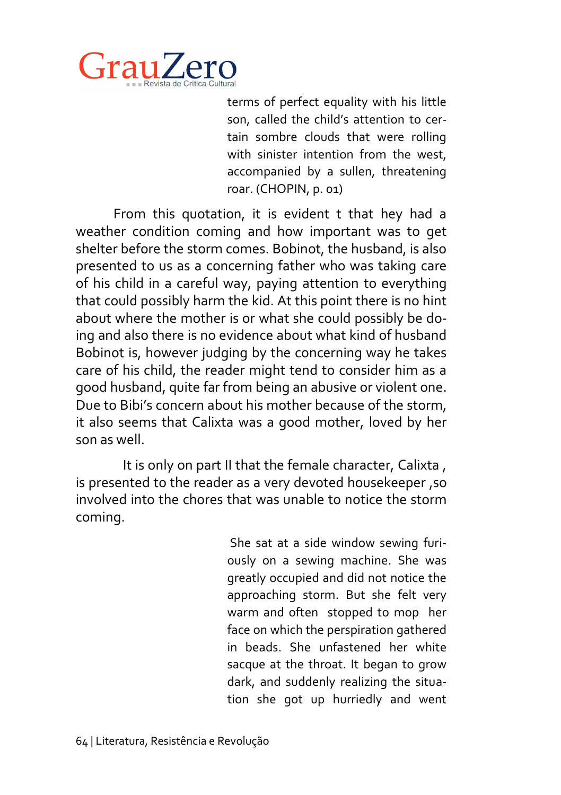

terms of perfect equality with his little son, called the child's attention to certain sombre clouds that were rolling with sinister intention from the west, accompanied by a sullen, threatening roar. (CHOPIN, p. 01)

From this quotation, it is evident t that hey had a weather condition coming and how important was to get shelter before the storm comes. Bobinot, the husband, is also presented to us as a concerning father who was taking care of his child in a careful way, paying attention to everything that could possibly harm the kid. At this point there is no hint about where the mother is or what she could possibly be doing and also there is no evidence about what kind of husband Bobinot is, however judging by the concerning way he takes care of his child, the reader might tend to consider him as a good husband, quite far from being an abusive or violent one. Due to Bibi's concern about his mother because of the storm, it also seems that Calixta was a good mother, loved by her son as well.

It is only on part II that the female character, Calixta , is presented to the reader as a very devoted housekeeper ,so involved into the chores that was unable to notice the storm coming.

> She sat at a side window sewing furiously on a sewing machine. She was greatly occupied and did not notice the approaching storm. But she felt very warm and often stopped to mop her face on which the perspiration gathered in beads. She unfastened her white sacque at the throat. It began to grow dark, and suddenly realizing the situation she got up hurriedly and went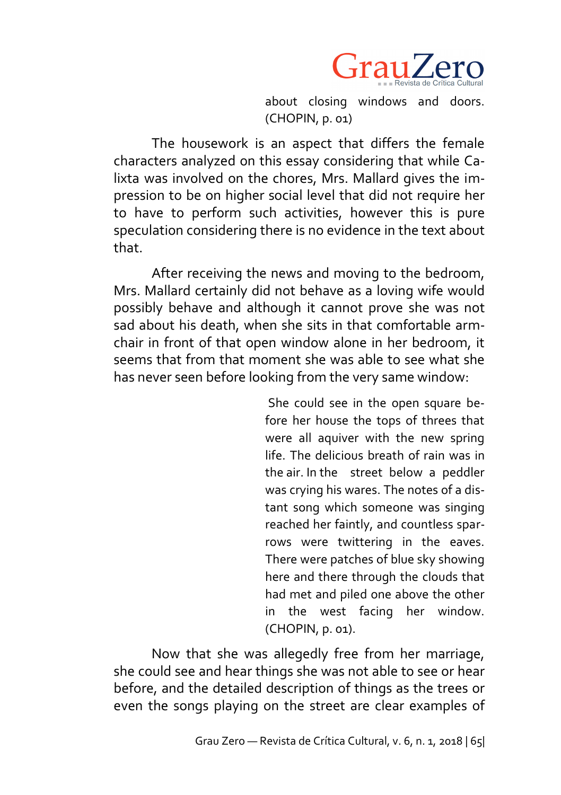

about closing windows and doors. (CHOPIN, p. 01)

The housework is an aspect that differs the female characters analyzed on this essay considering that while Calixta was involved on the chores, Mrs. Mallard gives the impression to be on higher social level that did not require her to have to perform such activities, however this is pure speculation considering there is no evidence in the text about that.

After receiving the news and moving to the bedroom, Mrs. Mallard certainly did not behave as a loving wife would possibly behave and although it cannot prove she was not sad about his death, when she sits in that comfortable armchair in front of that open window alone in her bedroom, it seems that from that moment she was able to see what she has never seen before looking from the very same window:

> She could see in the open square before her house the tops of threes that were all aquiver with the new spring life. The delicious breath of rain was in the air. In the street below a peddler was crying his wares. The notes of a distant song which someone was singing reached her faintly, and countless sparrows were twittering in the eaves. There were patches of blue sky showing here and there through the clouds that had met and piled one above the other in the west facing her window. (CHOPIN, p. 01).

Now that she was allegedly free from her marriage, she could see and hear things she was not able to see or hear before, and the detailed description of things as the trees or even the songs playing on the street are clear examples of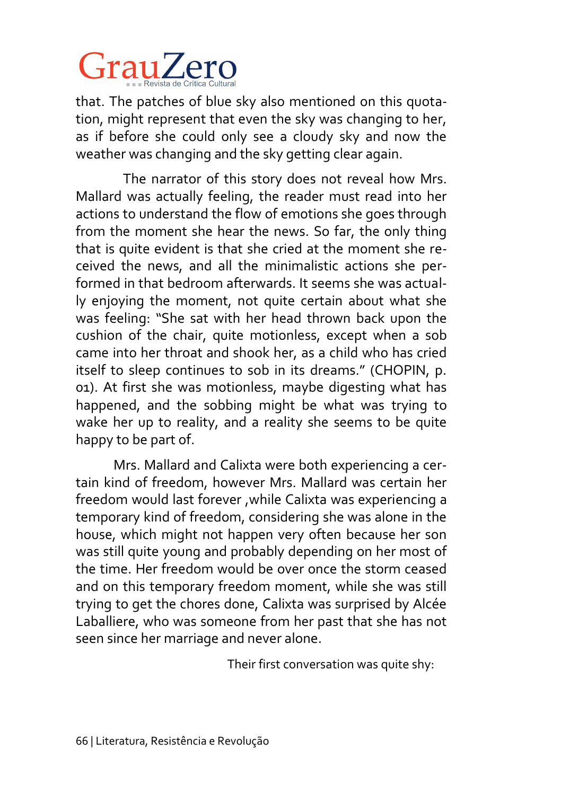

that. The patches of blue sky also mentioned on this quotation, might represent that even the sky was changing to her, as if before she could only see a cloudy sky and now the weather was changing and the sky getting clear again.

The narrator of this story does not reveal how Mrs. Mallard was actually feeling, the reader must read into her actions to understand the flow of emotions she goes through from the moment she hear the news. So far, the only thing that is quite evident is that she cried at the moment she received the news, and all the minimalistic actions she performed in that bedroom afterwards. It seems she was actually enjoying the moment, not quite certain about what she was feeling: "She sat with her head thrown back upon the cushion of the chair, quite motionless, except when a sob came into her throat and shook her, as a child who has cried itself to sleep continues to sob in its dreams." (CHOPIN, p. 01). At first she was motionless, maybe digesting what has happened, and the sobbing might be what was trying to wake her up to reality, and a reality she seems to be quite happy to be part of.

Mrs. Mallard and Calixta were both experiencing a certain kind of freedom, however Mrs. Mallard was certain her freedom would last forever ,while Calixta was experiencing a temporary kind of freedom, considering she was alone in the house, which might not happen very often because her son was still quite young and probably depending on her most of the time. Her freedom would be over once the storm ceased and on this temporary freedom moment, while she was still trying to get the chores done, Calixta was surprised by Alcée Laballiere, who was someone from her past that she has not seen since her marriage and never alone.

Their first conversation was quite shy: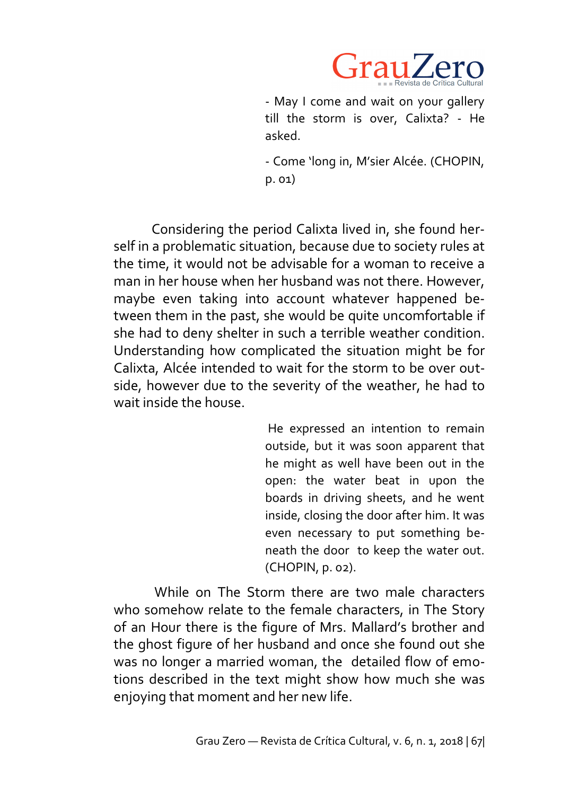

- May I come and wait on your gallery till the storm is over, Calixta? - He asked.

- Come 'long in, M'sier Alcée. (CHOPIN, p. 01)

Considering the period Calixta lived in, she found herself in a problematic situation, because due to society rules at the time, it would not be advisable for a woman to receive a man in her house when her husband was not there. However, maybe even taking into account whatever happened between them in the past, she would be quite uncomfortable if she had to deny shelter in such a terrible weather condition. Understanding how complicated the situation might be for Calixta, Alcée intended to wait for the storm to be over outside, however due to the severity of the weather, he had to wait inside the house.

> He expressed an intention to remain outside, but it was soon apparent that he might as well have been out in the open: the water beat in upon the boards in driving sheets, and he went inside, closing the door after him. It was even necessary to put something beneath the door to keep the water out. (CHOPIN, p. 02).

While on The Storm there are two male characters who somehow relate to the female characters, in The Story of an Hour there is the figure of Mrs. Mallard's brother and the ghost figure of her husband and once she found out she was no longer a married woman, the detailed flow of emotions described in the text might show how much she was enjoying that moment and her new life.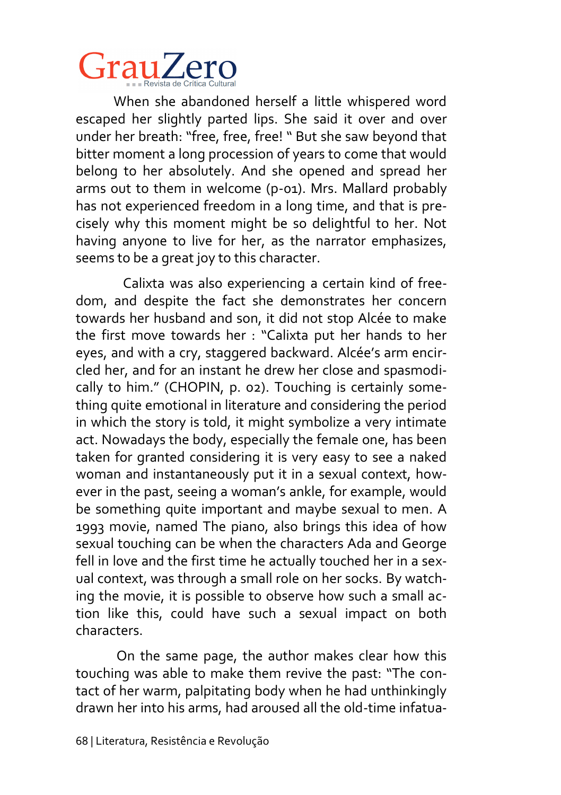## GrauZero

When she abandoned herself a little whispered word escaped her slightly parted lips. She said it over and over under her breath: "free, free, free! " But she saw beyond that bitter moment a long procession of years to come that would belong to her absolutely. And she opened and spread her arms out to them in welcome (p-01). Mrs. Mallard probably has not experienced freedom in a long time, and that is precisely why this moment might be so delightful to her. Not having anyone to live for her, as the narrator emphasizes, seems to be a great joy to this character.

Calixta was also experiencing a certain kind of freedom, and despite the fact she demonstrates her concern towards her husband and son, it did not stop Alcée to make the first move towards her : "Calixta put her hands to her eyes, and with a cry, staggered backward. Alcée's arm encircled her, and for an instant he drew her close and spasmodically to him." (CHOPIN, p. 02). Touching is certainly something quite emotional in literature and considering the period in which the story is told, it might symbolize a very intimate act. Nowadays the body, especially the female one, has been taken for granted considering it is very easy to see a naked woman and instantaneously put it in a sexual context, however in the past, seeing a woman's ankle, for example, would be something quite important and maybe sexual to men. A 1993 movie, named The piano, also brings this idea of how sexual touching can be when the characters Ada and George fell in love and the first time he actually touched her in a sexual context, was through a small role on her socks. By watching the movie, it is possible to observe how such a small action like this, could have such a sexual impact on both characters.

On the same page, the author makes clear how this touching was able to make them revive the past: "The contact of her warm, palpitating body when he had unthinkingly drawn her into his arms, had aroused all the old-time infatua-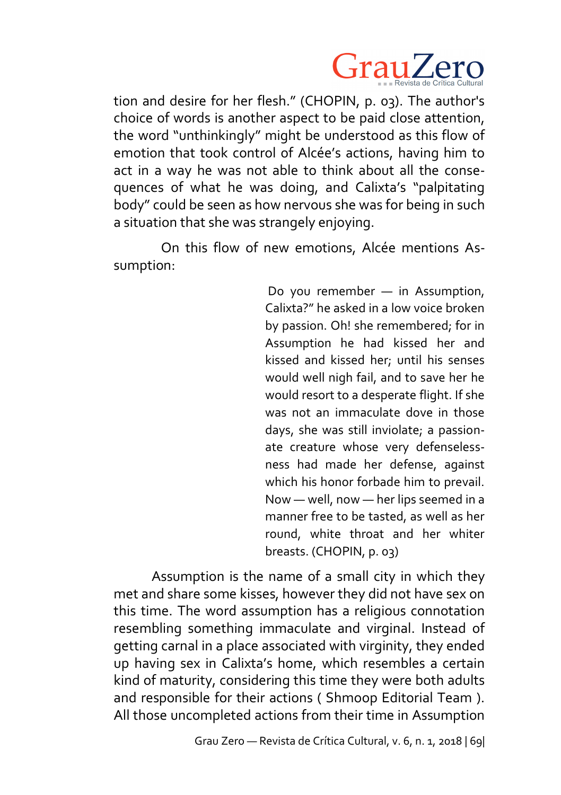

tion and desire for her flesh." (CHOPIN, p. 03). The author's choice of words is another aspect to be paid close attention, the word "unthinkingly" might be understood as this flow of emotion that took control of Alcée's actions, having him to act in a way he was not able to think about all the consequences of what he was doing, and Calixta's "palpitating body" could be seen as how nervous she was for being in such a situation that she was strangely enjoying.

On this flow of new emotions, Alcée mentions Assumption:

> Do you remember — in Assumption, Calixta?" he asked in a low voice broken by passion. Oh! she remembered; for in Assumption he had kissed her and kissed and kissed her; until his senses would well nigh fail, and to save her he would resort to a desperate flight. If she was not an immaculate dove in those days, she was still inviolate; a passionate creature whose very defenselessness had made her defense, against which his honor forbade him to prevail. Now — well, now — her lips seemed in a manner free to be tasted, as well as her round, white throat and her whiter breasts. (CHOPIN, p. 03)

Assumption is the name of a small city in which they met and share some kisses, however they did not have sex on this time. The word assumption has a religious connotation resembling something immaculate and virginal. Instead of getting carnal in a place associated with virginity, they ended up having sex in Calixta's home, which resembles a certain kind of maturity, considering this time they were both adults and responsible for their actions ( Shmoop Editorial Team ). All those uncompleted actions from their time in Assumption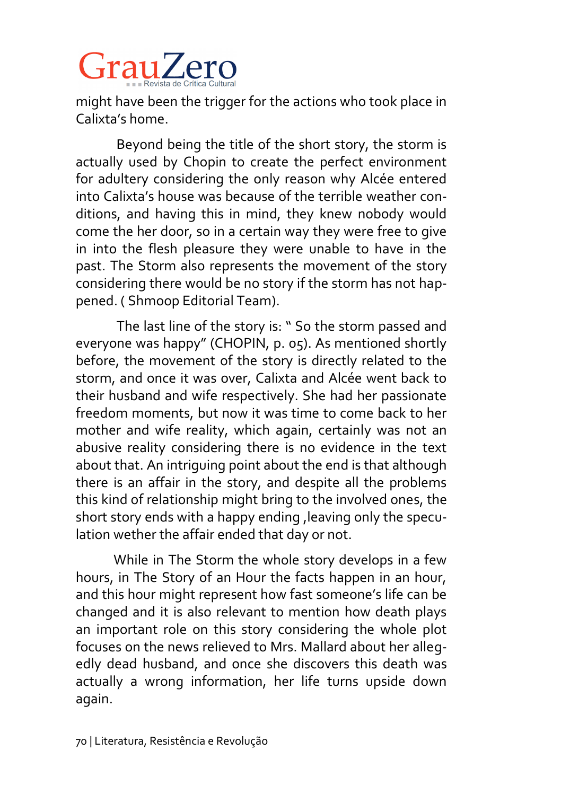# GrauZero

might have been the trigger for the actions who took place in Calixta's home.

Beyond being the title of the short story, the storm is actually used by Chopin to create the perfect environment for adultery considering the only reason why Alcée entered into Calixta's house was because of the terrible weather conditions, and having this in mind, they knew nobody would come the her door, so in a certain way they were free to give in into the flesh pleasure they were unable to have in the past. The Storm also represents the movement of the story considering there would be no story if the storm has not happened. ( Shmoop Editorial Team).

The last line of the story is: " So the storm passed and everyone was happy" (CHOPIN, p. 05). As mentioned shortly before, the movement of the story is directly related to the storm, and once it was over, Calixta and Alcée went back to their husband and wife respectively. She had her passionate freedom moments, but now it was time to come back to her mother and wife reality, which again, certainly was not an abusive reality considering there is no evidence in the text about that. An intriguing point about the end is that although there is an affair in the story, and despite all the problems this kind of relationship might bring to the involved ones, the short story ends with a happy ending, leaving only the speculation wether the affair ended that day or not.

While in The Storm the whole story develops in a few hours, in The Story of an Hour the facts happen in an hour, and this hour might represent how fast someone's life can be changed and it is also relevant to mention how death plays an important role on this story considering the whole plot focuses on the news relieved to Mrs. Mallard about her allegedly dead husband, and once she discovers this death was actually a wrong information, her life turns upside down again.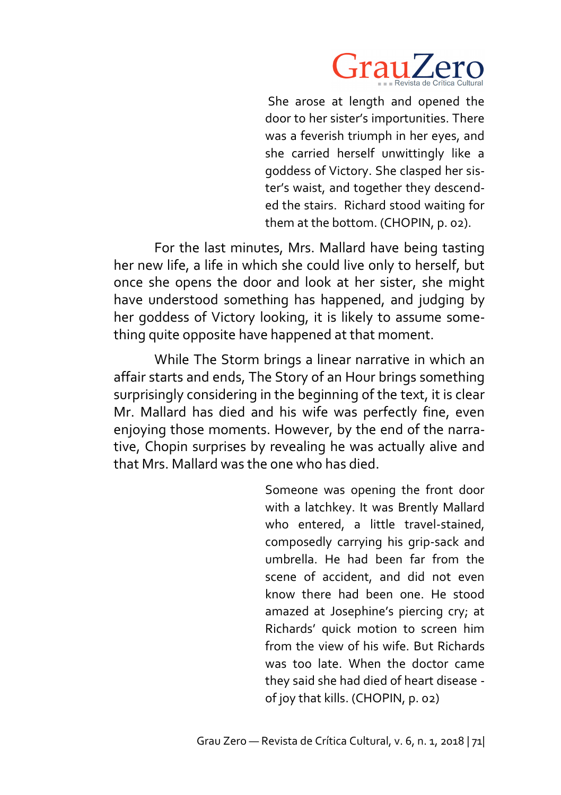

She arose at length and opened the door to her sister's importunities. There was a feverish triumph in her eyes, and she carried herself unwittingly like a goddess of Victory. She clasped her sister's waist, and together they descended the stairs. Richard stood waiting for them at the bottom. (CHOPIN, p. 02).

For the last minutes, Mrs. Mallard have being tasting her new life, a life in which she could live only to herself, but once she opens the door and look at her sister, she might have understood something has happened, and judging by her goddess of Victory looking, it is likely to assume something quite opposite have happened at that moment.

While The Storm brings a linear narrative in which an affair starts and ends, The Story of an Hour brings something surprisingly considering in the beginning of the text, it is clear Mr. Mallard has died and his wife was perfectly fine, even enjoying those moments. However, by the end of the narrative, Chopin surprises by revealing he was actually alive and that Mrs. Mallard was the one who has died.

> Someone was opening the front door with a latchkey. It was Brently Mallard who entered, a little travel-stained, composedly carrying his grip-sack and umbrella. He had been far from the scene of accident, and did not even know there had been one. He stood amazed at Josephine's piercing cry; at Richards' quick motion to screen him from the view of his wife. But Richards was too late. When the doctor came they said she had died of heart disease of joy that kills. (CHOPIN, p. 02)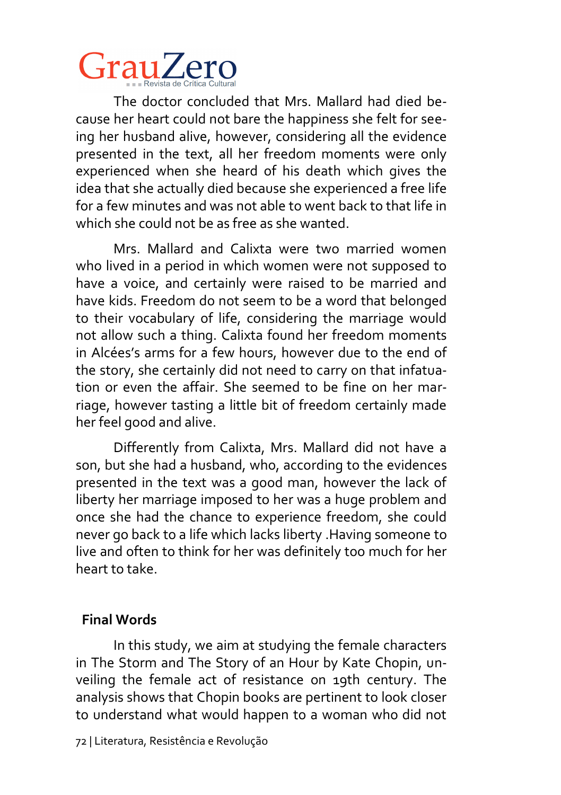# GrauZero

The doctor concluded that Mrs. Mallard had died because her heart could not bare the happiness she felt for seeing her husband alive, however, considering all the evidence presented in the text, all her freedom moments were only experienced when she heard of his death which gives the idea that she actually died because she experienced a free life for a few minutes and was not able to went back to that life in which she could not be as free as she wanted.

Mrs. Mallard and Calixta were two married women who lived in a period in which women were not supposed to have a voice, and certainly were raised to be married and have kids. Freedom do not seem to be a word that belonged to their vocabulary of life, considering the marriage would not allow such a thing. Calixta found her freedom moments in Alcées's arms for a few hours, however due to the end of the story, she certainly did not need to carry on that infatuation or even the affair. She seemed to be fine on her marriage, however tasting a little bit of freedom certainly made her feel good and alive.

Differently from Calixta, Mrs. Mallard did not have a son, but she had a husband, who, according to the evidences presented in the text was a good man, however the lack of liberty her marriage imposed to her was a huge problem and once she had the chance to experience freedom, she could never go back to a life which lacks liberty .Having someone to live and often to think for her was definitely too much for her heart to take.

### **Final Words**

In this study, we aim at studying the female characters in The Storm and The Story of an Hour by Kate Chopin, unveiling the female act of resistance on 19th century. The analysis shows that Chopin books are pertinent to look closer to understand what would happen to a woman who did not